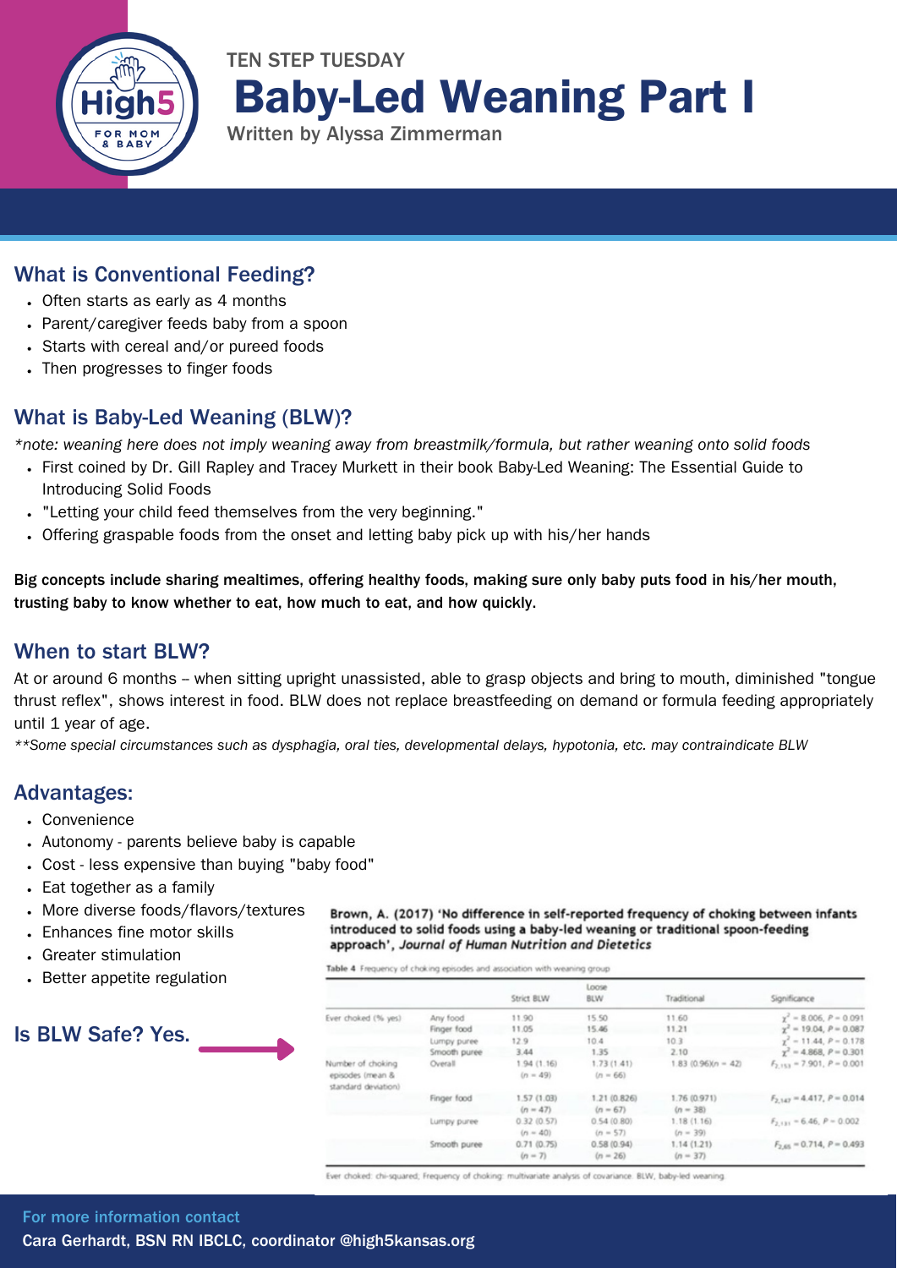

## TEN STEP TUESDAY Baby-Led Weaning Part I

Written by Alyssa Zimmerman

#### What is Conventional Feeding?

- Often starts as early as 4 months
- Parent/caregiver feeds baby from a spoon
- Starts with cereal and/or pureed foods
- Then progresses to finger foods

#### What is Baby-Led Weaning (BLW)?

\*note: weaning here does not imply weaning away from breastmilk/formula, but rather weaning onto solid foods

- First coined by Dr. Gill Rapley and Tracey Murkett in their book Baby-Led Weaning: The Essential Guide to Introducing Solid Foods
- "Letting your child feed themselves from the very beginning."
- Offering graspable foods from the onset and letting baby pick up with his/her hands

Big concepts include sharing mealtimes, offering healthy foods, making sure only baby puts food in his/her mouth, trusting baby to know whether to eat, how much to eat, and how quickly.

#### When to start BLW?

At or around 6 months - when sitting upright unassisted, able to grasp objects and bring to mouth, diminished "tongue thrust reflex", shows interest in food. BLW does not replace breastfeeding on demand or formula feeding appropriately until 1 year of age.

\*\*Some special circumstances such as dysphagia, oral ties, developmental delays, hypotonia, etc. may contraindicate BLW

#### Advantages:

- Convenience
- Autonomy parents believe baby is capable
- Cost less expensive than buying "baby food"
- Eat together as a family
- More diverse foods/flavors/textures
- Enhances fine motor skills
- Greater stimulation
- Better appetite regulation

## Is BLW Safe? Yes.

Brown, A. (2017) 'No difference in self-reported frequency of choking between infants introduced to solid foods using a baby-led weaning or traditional spoon-feeding approach', Journal of Human Nutrition and Dietetics

Table 4 Frequency of choking episodes and association with weaning group

|                                                              |              | Strict BLW                | Loose<br><b>BLW</b>        | Traditional                | Significance                     |
|--------------------------------------------------------------|--------------|---------------------------|----------------------------|----------------------------|----------------------------------|
| Ever choked (% yes)                                          | Any food     | 11.90                     | 15.50                      | 11.60                      | $y' = 8.006, P = 0.091$          |
|                                                              | Finger food  | 11.05                     | 15.46                      | 11.21                      | $y^2 = 19.04$ , $P = 0.087$      |
|                                                              | Lumpy puree  | 12.9                      | 10.4                       | 10.3                       | $y^2 = 11.44$ , $P = 0.178$      |
|                                                              | Smooth puree | 3.44                      | 1.35                       | 2.10                       | $\gamma^2 = 4.868$ , $P = 0.301$ |
| Number of choking<br>episodes (mean &<br>standard deviation) | Overall      | 1.94 (1.16)<br>$(n = 49)$ | 1.73(1.41)<br>$(n = 66)$   | $1.83(0.96)(n-42)$         | $F_{2.153}$ = 7.901, $P = 0.001$ |
|                                                              | Finger food  | 1.57 (1.03)<br>$(n = 47)$ | 1.21 (0.826)<br>$(n = 67)$ | 1.76 (0.971)<br>$(n = 38)$ | $F_{2,147} = 4.417, P = 0.014$   |
|                                                              | Lumpy puree  | 0.32(0.57)<br>$(n = 40)$  | 0.54(0.80)<br>$(n = 57)$   | 1.18(1.16)<br>$(n = 39)$   | $F_{2,131} = 6.46, P = 0.002$    |
|                                                              | Smooth puree | 0.71(0.75)<br>$(n - 7)$   | 0.58(0.94)<br>$(n = 26)$   | 1.14(1.21)<br>$(n = 37)$   | $F_{2.65} = 0.714$ , $P = 0.493$ |

Ever choked: chi-squared; Frequency of choking: multivariate analysis of covariance. BLW, baby-led weaning.